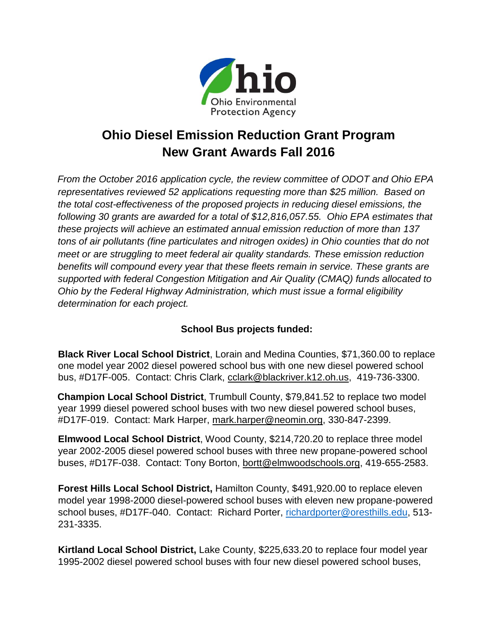

## **Ohio Diesel Emission Reduction Grant Program New Grant Awards Fall 2016**

*From the October 2016 application cycle, the review committee of ODOT and Ohio EPA representatives reviewed 52 applications requesting more than \$25 million. Based on the total cost-effectiveness of the proposed projects in reducing diesel emissions, the following 30 grants are awarded for a total of \$12,816,057.55. Ohio EPA estimates that these projects will achieve an estimated annual emission reduction of more than 137 tons of air pollutants (fine particulates and nitrogen oxides) in Ohio counties that do not meet or are struggling to meet federal air quality standards. These emission reduction benefits will compound every year that these fleets remain in service. These grants are supported with federal Congestion Mitigation and Air Quality (CMAQ) funds allocated to Ohio by the Federal Highway Administration, which must issue a formal eligibility determination for each project.* 

## **School Bus projects funded:**

**Black River Local School District**, Lorain and Medina Counties, \$71,360.00 to replace one model year 2002 diesel powered school bus with one new diesel powered school bus, #D17F-005. Contact: Chris Clark, [cclark@blackriver.k12.oh.us,](mailto:cclark@blackriver.k12.oh.us) 419-736-3300.

**Champion Local School District**, Trumbull County, \$79,841.52 to replace two model year 1999 diesel powered school buses with two new diesel powered school buses, #D17F-019. Contact: Mark Harper, [mark.harper@neomin.org,](mailto:mark.harper@neomin.org) 330-847-2399.

**Elmwood Local School District**, Wood County, \$214,720.20 to replace three model year 2002-2005 diesel powered school buses with three new propane-powered school buses, #D17F-038. Contact: Tony Borton, [bortt@elmwoodschools.org,](mailto:bortt@elmwoodschools.org) 419-655-2583.

**Forest Hills Local School District,** Hamilton County, \$491,920.00 to replace eleven model year 1998-2000 diesel-powered school buses with eleven new propane-powered school buses, #D17F-040. Contact: Richard Porter, [richardporter@oresthills.edu,](mailto:richardporter@oresthills.edu) 513- 231-3335.

**Kirtland Local School District,** Lake County, \$225,633.20 to replace four model year 1995-2002 diesel powered school buses with four new diesel powered school buses,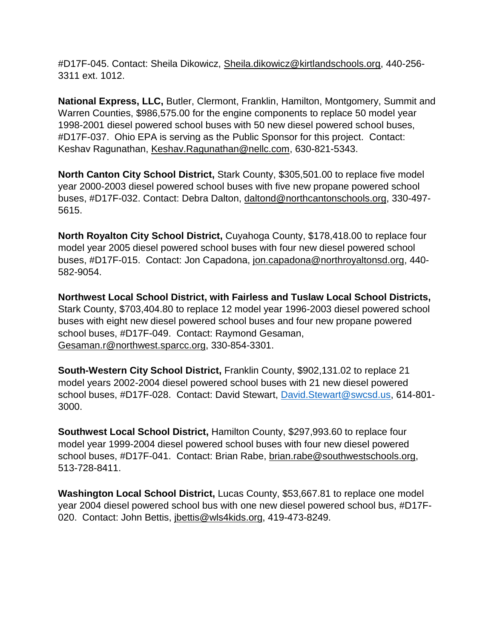#D17F-045. Contact: Sheila Dikowicz, [Sheila.dikowicz@kirtlandschools.org,](mailto:Sheila.dikowicz@kirtlandschools.org) 440-256- 3311 ext. 1012.

**National Express, LLC,** Butler, Clermont, Franklin, Hamilton, Montgomery, Summit and Warren Counties, \$986,575.00 for the engine components to replace 50 model year 1998-2001 diesel powered school buses with 50 new diesel powered school buses, #D17F-037. Ohio EPA is serving as the Public Sponsor for this project. Contact: Keshav Ragunathan, [Keshav.Ragunathan@nellc.com,](mailto:Keshav.Ragunathan@nellc.com) 630-821-5343.

**North Canton City School District,** Stark County, \$305,501.00 to replace five model year 2000-2003 diesel powered school buses with five new propane powered school buses, #D17F-032. Contact: Debra Dalton, [daltond@northcantonschools.org,](mailto:daltond@northcantonschools.org) 330-497- 5615.

**North Royalton City School District,** Cuyahoga County, \$178,418.00 to replace four model year 2005 diesel powered school buses with four new diesel powered school buses, #D17F-015. Contact: Jon Capadona, [jon.capadona@northroyaltonsd.org,](mailto:jon.capadona@northroyaltonsd.org) 440- 582-9054.

**Northwest Local School District, with Fairless and Tuslaw Local School Districts,**  Stark County, \$703,404.80 to replace 12 model year 1996-2003 diesel powered school buses with eight new diesel powered school buses and four new propane powered school buses, #D17F-049. Contact: Raymond Gesaman, [Gesaman.r@northwest.sparcc.org,](mailto:Gesaman.r@northwest.sparcc.org) 330-854-3301.

**South-Western City School District,** Franklin County, \$902,131.02 to replace 21 model years 2002-2004 diesel powered school buses with 21 new diesel powered school buses, #D17F-028. Contact: David Stewart, [David.Stewart@swcsd.us,](mailto:David.Stewart@swcsd.us) 614-801- 3000.

**Southwest Local School District,** Hamilton County, \$297,993.60 to replace four model year 1999-2004 diesel powered school buses with four new diesel powered school buses, #D17F-041. Contact: Brian Rabe, [brian.rabe@southwestschools.org,](mailto:brian.rabe@southwestschools.org) 513-728-8411.

**Washington Local School District,** Lucas County, \$53,667.81 to replace one model year 2004 diesel powered school bus with one new diesel powered school bus, #D17F-020. Contact: John Bettis, [jbettis@wls4kids.org,](mailto:jbettis@wls4kids.org) 419-473-8249.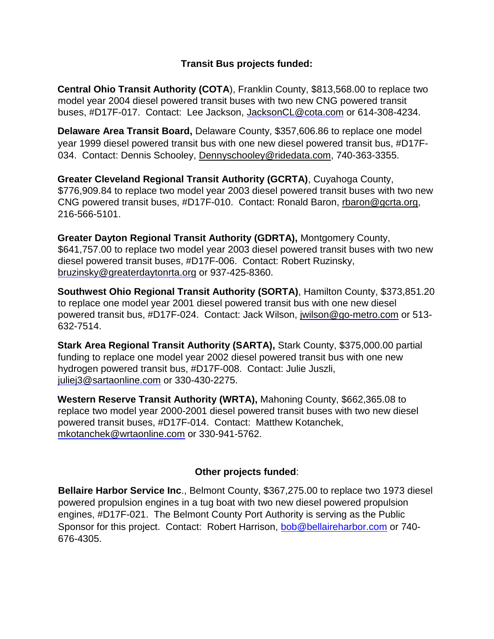## **Transit Bus projects funded:**

**Central Ohio Transit Authority (COTA**), Franklin County, \$813,568.00 to replace two model year 2004 diesel powered transit buses with two new CNG powered transit buses, #D17F-017. Contact: Lee Jackson, JacksonCL@cota.com or 614-308-4234.

**Delaware Area Transit Board,** Delaware County, \$357,606.86 to replace one model year 1999 diesel powered transit bus with one new diesel powered transit bus, #D17F-034. Contact: Dennis Schooley, [Dennyschooley@ridedata.com,](mailto:Dennyschooley@ridedata.com) 740-363-3355.

**Greater Cleveland Regional Transit Authority (GCRTA)**, Cuyahoga County, \$776,909.84 to replace two model year 2003 diesel powered transit buses with two new CNG powered transit buses, #D17F-010. Contact: Ronald Baron, [rbaron@gcrta.org,](mailto:rbaron@gcrta.org) 216-566-5101.

**Greater Dayton Regional Transit Authority (GDRTA),** Montgomery County, \$641,757.00 to replace two model year 2003 diesel powered transit buses with two new diesel powered transit buses, #D17F-006. Contact: Robert Ruzinsky, bruzinsky@greaterdaytonrta.org or 937-425-8360.

**Southwest Ohio Regional Transit Authority (SORTA)**, Hamilton County, \$373,851.20 to replace one model year 2001 diesel powered transit bus with one new diesel powered transit bus, #D17F-024. Contact: Jack Wilson, jwilson@go-metro.com or 513- 632-7514.

**Stark Area Regional Transit Authority (SARTA),** Stark County, \$375,000.00 partial funding to replace one model year 2002 diesel powered transit bus with one new hydrogen powered transit bus, #D17F-008. Contact: Julie Juszli, juliej3@sartaonline.com or 330-430-2275.

**Western Reserve Transit Authority (WRTA),** Mahoning County, \$662,365.08 to replace two model year 2000-2001 diesel powered transit buses with two new diesel powered transit buses, #D17F-014. Contact: Matthew Kotanchek, mkotanchek@wrtaonline.com or 330-941-5762.

## **Other projects funded**:

**Bellaire Harbor Service Inc**., Belmont County, \$367,275.00 to replace two 1973 diesel powered propulsion engines in a tug boat with two new diesel powered propulsion engines, #D17F-021.The Belmont County Port Authority is serving as the Public Sponsor for this project. Contact: Robert Harrison, bob@bellaireharbor.com or 740- 676-4305.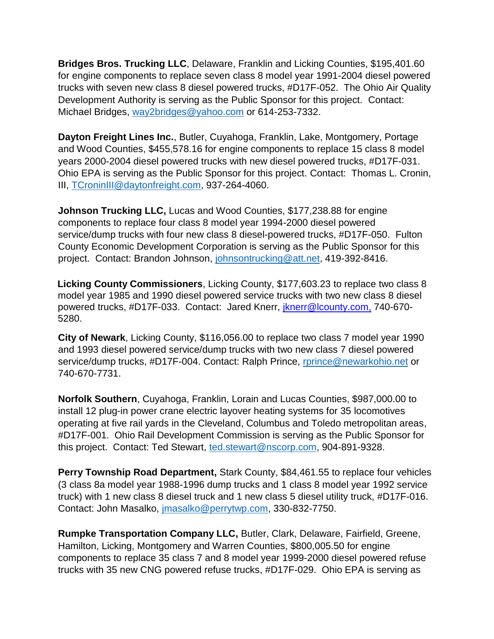**Bridges Bros. Trucking LLC**, Delaware, Franklin and Licking Counties, \$195,401.60 for engine components to replace seven class 8 model year 1991-2004 diesel powered trucks with seven new class 8 diesel powered trucks, #D17F-052.The Ohio Air Quality Development Authority is serving as the Public Sponsor for this project.Contact: Michael Bridges, [way2bridges@yahoo.com](mailto:way2bridges@yahoo.com) or 614-253-7332.

**Dayton Freight Lines Inc.**, Butler, Cuyahoga, Franklin, Lake, Montgomery, Portage and Wood Counties, \$455,578.16 for engine components to replace 15 class 8 model years 2000-2004 diesel powered trucks with new diesel powered trucks, #D17F-031. Ohio EPA is serving as the Public Sponsor for this project. Contact: Thomas L. Cronin, III, [TCroninIII@daytonfreight.com,](mailto:TCroninIII@daytonfreight.com) 937-264-4060.

**Johnson Trucking LLC,** Lucas and Wood Counties, \$177,238.88 for engine components to replace four class 8 model year 1994-2000 diesel powered service/dump trucks with four new class 8 diesel-powered trucks, #D17F-050. Fulton County Economic Development Corporation is serving as the Public Sponsor for this project. Contact: Brandon Johnson, [johnsontrucking@att.net,](mailto:johnsontrucking@att.net) 419-392-8416.

**Licking County Commissioners**, Licking County, \$177,603.23 to replace two class 8 model year 1985 and 1990 diesel powered service trucks with two new class 8 diesel powered trucks, #D17F-033. Contact: Jared Knerr, *jknerr@lcounty.com*, 740-670-5280.

**City of Newark**, Licking County, \$116,056.00 to replace two class 7 model year 1990 and 1993 diesel powered service/dump trucks with two new class 7 diesel powered service/dump trucks, #D17F-004. Contact: Ralph Prince, [rprince@newarkohio.net](mailto:rprince@newarkohio.net) or 740-670-7731.

**Norfolk Southern**, Cuyahoga, Franklin, Lorain and Lucas Counties, \$987,000.00 to install 12 plug-in power crane electric layover heating systems for 35 locomotives operating at five rail yards in the Cleveland, Columbus and Toledo metropolitan areas, #D17F-001. Ohio Rail Development Commission is serving as the Public Sponsor for this project. Contact: Ted Stewart, [ted.stewart@nscorp.com,](mailto:ted.stewart@nscorp.com) 904-891-9328.

**Perry Township Road Department,** Stark County, \$84,461.55 to replace four vehicles (3 class 8a model year 1988-1996 dump trucks and 1 class 8 model year 1992 service truck) with 1 new class 8 diesel truck and 1 new class 5 diesel utility truck, #D17F-016. Contact: John Masalko, [jmasalko@perrytwp.com,](mailto:jmasalko@perrytwp.com) 330-832-7750.

**Rumpke Transportation Company LLC,** Butler, Clark, Delaware, Fairfield, Greene, Hamilton, Licking, Montgomery and Warren Counties, \$800,005.50 for engine components to replace 35 class 7 and 8 model year 1999-2000 diesel powered refuse trucks with 35 new CNG powered refuse trucks, #D17F-029. Ohio EPA is serving as